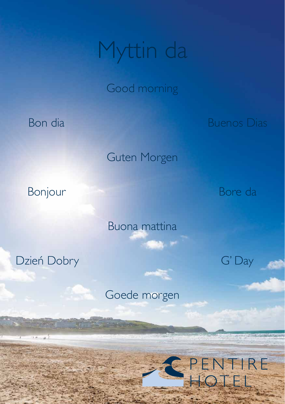## Myttin da

Good morning

Bon dia

Buenos Dias

Guten Morgen

Bonjour

Bore da

G' Day

TIRE

Buona mattina

Dzień Dobry

 $x = -\frac{1}{2}$ 

Goede morgen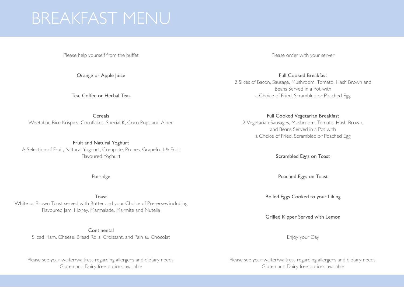## BREAKFAST MENU

Please help yourself from the buffet

Orange or Apple Juice

Tea, Coffee or Herbal Teas

**Cereals** Weetabix, Rice Krispies, Cornflakes, Special K, Coco Pops and Alpen

Fruit and Natural Yoghurt A Selection of Fruit, Natural Yoghurt, Compote, Prunes, Grapefruit & Fruit Flavoured Yoghurt

Porridge

Toast White or Brown Toast served with Butter and your Choice of Preserves including Flavoured Jam, Honey, Marmalade, Marmite and Nutella

**Continental** 

Sliced Ham, Cheese, Bread Rolls, Croissant, and Pain au Chocolat

Please see your waiter/waitress regarding allergens and dietary needs. Gluten and Dairy free options available

Please order with your server

Full Cooked Breakfast 2 Slices of Bacon, Sausage, Mushroom, Tomato, Hash Brown and Beans Served in a Pot with a Choice of Fried, Scrambled or Poached Egg

## Full Cooked Vegetarian Breakfast

2 Vegetarian Sausages, Mushroom, Tomato, Hash Brown, and Beans Served in a Pot with a Choice of Fried, Scrambled or Poached Egg

Scrambled Eggs on Toast

Poached Eggs on Toast

Boiled Eggs Cooked to your Liking

Grilled Kipper Served with Lemon

Enjoy your Day

Please see your waiter/waitress regarding allergens and dietary needs. Gluten and Dairy free options available